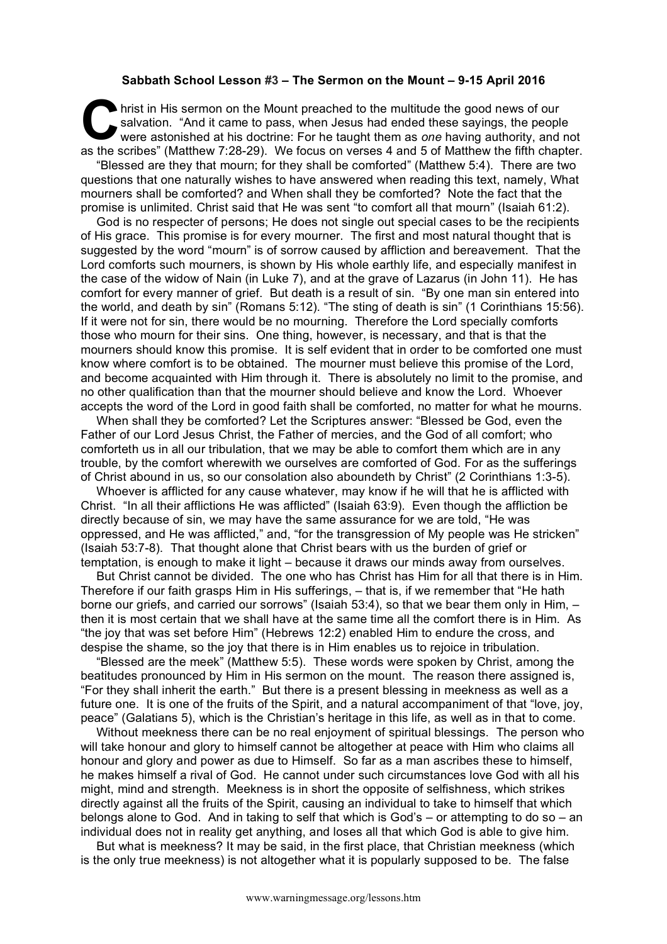## **Sabbath School Lesson #3 – The Sermon on the Mount – 9-15 April 2016**

hrist in His sermon on the Mount preached to the multitude the good news of our salvation. "And it came to pass, when Jesus had ended these sayings, the people were astonished at his doctrine: For he taught them as *one* having authority, and not as the scribes" (Matthew 7:28-29). We focus on verses 4 and 5 of Matthew the fifth chapter. C sal<br>we see the contri

"Blessed are they that mourn; for they shall be comforted" (Matthew 5:4). There are two questions that one naturally wishes to have answered when reading this text, namely, What mourners shall be comforted? and When shall they be comforted? Note the fact that the promise is unlimited. Christ said that He was sent "to comfort all that mourn" (Isaiah 61:2).

God is no respecter of persons; He does not single out special cases to be the recipients of His grace. This promise is for every mourner. The first and most natural thought that is suggested by the word "mourn" is of sorrow caused by affliction and bereavement. That the Lord comforts such mourners, is shown by His whole earthly life, and especially manifest in the case of the widow of Nain (in Luke 7), and at the grave of Lazarus (in John 11). He has comfort for every manner of grief. But death is a result of sin. "By one man sin entered into the world, and death by sin" (Romans 5:12). "The sting of death is sin" (1 Corinthians 15:56). If it were not for sin, there would be no mourning. Therefore the Lord specially comforts those who mourn for their sins. One thing, however, is necessary, and that is that the mourners should know this promise. It is self evident that in order to be comforted one must know where comfort is to be obtained. The mourner must believe this promise of the Lord, and become acquainted with Him through it. There is absolutely no limit to the promise, and no other qualification than that the mourner should believe and know the Lord. Whoever accepts the word of the Lord in good faith shall be comforted, no matter for what he mourns.

When shall they be comforted? Let the Scriptures answer: "Blessed be God, even the Father of our Lord Jesus Christ, the Father of mercies, and the God of all comfort; who comforteth us in all our tribulation, that we may be able to comfort them which are in any trouble, by the comfort wherewith we ourselves are comforted of God. For as the sufferings of Christ abound in us, so our consolation also aboundeth by Christ" (2 Corinthians 1:3-5).

Whoever is afflicted for any cause whatever, may know if he will that he is afflicted with Christ. "In all their afflictions He was afflicted" (Isaiah 63:9). Even though the affliction be directly because of sin, we may have the same assurance for we are told, "He was oppressed, and He was afflicted," and, "for the transgression of My people was He stricken" (Isaiah 53:7-8). That thought alone that Christ bears with us the burden of grief or temptation, is enough to make it light – because it draws our minds away from ourselves.

But Christ cannot be divided. The one who has Christ has Him for all that there is in Him. Therefore if our faith grasps Him in His sufferings, – that is, if we remember that "He hath borne our griefs, and carried our sorrows" (Isaiah 53:4), so that we bear them only in Him, then it is most certain that we shall have at the same time all the comfort there is in Him. As "the joy that was set before Him" (Hebrews 12:2) enabled Him to endure the cross, and despise the shame, so the joy that there is in Him enables us to rejoice in tribulation.

"Blessed are the meek" (Matthew 5:5). These words were spoken by Christ, among the beatitudes pronounced by Him in His sermon on the mount. The reason there assigned is, "For they shall inherit the earth." But there is a present blessing in meekness as well as a future one. It is one of the fruits of the Spirit, and a natural accompaniment of that "love, joy, peace" (Galatians 5), which is the Christian's heritage in this life, as well as in that to come.

Without meekness there can be no real enjoyment of spiritual blessings. The person who will take honour and glory to himself cannot be altogether at peace with Him who claims all honour and glory and power as due to Himself. So far as a man ascribes these to himself, he makes himself a rival of God. He cannot under such circumstances love God with all his might, mind and strength. Meekness is in short the opposite of selfishness, which strikes directly against all the fruits of the Spirit, causing an individual to take to himself that which belongs alone to God. And in taking to self that which is God's – or attempting to do so – an individual does not in reality get anything, and loses all that which God is able to give him.

But what is meekness? It may be said, in the first place, that Christian meekness (which is the only true meekness) is not altogether what it is popularly supposed to be. The false